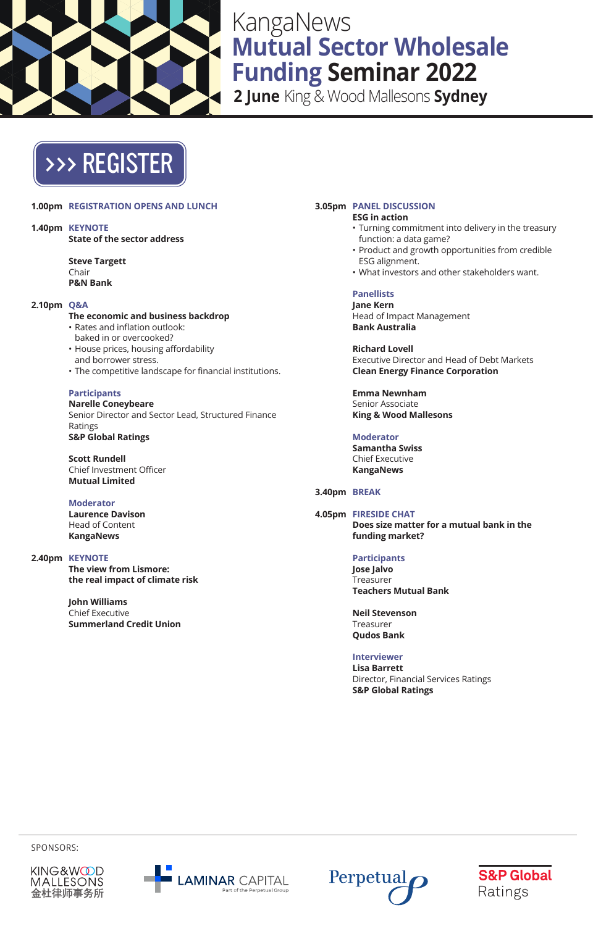

## KangaNews **Mutual Sector Wholesale Funding Seminar 2022**

**2 June** King & Wood Mallesons **Sydney**

# [>>> REGISTER](https://kanganews.eventsair.com/2022-mswfs/)

### **1.00pm REGISTRATION OPENS AND LUNCH**

**1.40pm KEYNOTE State of the sector address**

> **Steve Targett** Chair **P&N Bank**

### **2.10pm Q&A**

### **The economic and business backdrop**

- Rates and inflation outlook: baked in or overcooked?
- House prices, housing affordability and borrower stress.
- The competitive landscape for financial institutions.

### **Participants**

**Narelle Coneybeare** Senior Director and Sector Lead, Structured Finance Ratings **S&P Global Ratings**

**Scott Rundell** Chief Investment Officer **Mutual Limited**

**Moderator Laurence Davison** Head of Content

**KangaNews**

### **2.40pm KEYNOTE**

**The view from Lismore: the real impact of climate risk**

**John Williams** Chief Executive **Summerland Credit Union**

#### **3.05pm PANEL DISCUSSION ESG in action**

- Turning commitment into delivery in the treasury function: a data game?
- Product and growth opportunities from credible ESG alignment.
- What investors and other stakeholders want.

**Panellists Jane Kern** Head of Impact Management **Bank Australia**

**Richard Lovell** Executive Director and Head of Debt Markets **Clean Energy Finance Corporation**

**Emma Newnham** Senior Associate **King & Wood Mallesons**

**Moderator Samantha Swiss** Chief Executive **KangaNews**

### **3.40pm BREAK**

### **4.05pm FIRESIDE CHAT Does size matter for a mutual bank in the funding market?**

**Participants Jose Jalvo** Treasurer **Teachers Mutual Bank**

**Neil Stevenson** Treasurer **Qudos Bank**

**Interviewer Lisa Barrett**

Director, Financial Services Ratings **S&P Global Ratings**

SPONSORS: